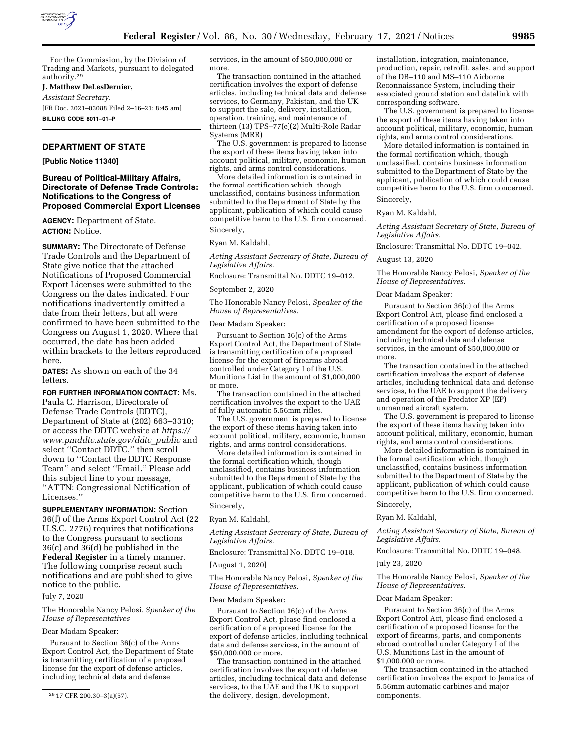

For the Commission, by the Division of Trading and Markets, pursuant to delegated authority.29

### **J. Matthew DeLesDernier,**

*Assistant Secretary.* 

[FR Doc. 2021–03088 Filed 2–16–21; 8:45 am]

**BILLING CODE 8011–01–P** 

# **DEPARTMENT OF STATE**

**[Public Notice 11340]** 

# **Bureau of Political-Military Affairs, Directorate of Defense Trade Controls: Notifications to the Congress of Proposed Commercial Export Licenses**

**AGENCY:** Department of State. **ACTION:** Notice.

**SUMMARY:** The Directorate of Defense Trade Controls and the Department of State give notice that the attached Notifications of Proposed Commercial Export Licenses were submitted to the Congress on the dates indicated. Four notifications inadvertently omitted a date from their letters, but all were confirmed to have been submitted to the Congress on August 1, 2020. Where that occurred, the date has been added within brackets to the letters reproduced here.

**DATES:** As shown on each of the 34 letters.

**FOR FURTHER INFORMATION CONTACT:** Ms. Paula C. Harrison, Directorate of Defense Trade Controls (DDTC), Department of State at (202) 663–3310; or access the DDTC website at *[https://](https://www.pmddtc.state.gov/ddtc_public)  [www.pmddtc.state.gov/ddtc](https://www.pmddtc.state.gov/ddtc_public)*\_*public* and select ''Contact DDTC,'' then scroll down to ''Contact the DDTC Response Team'' and select ''Email.'' Please add this subject line to your message, ''ATTN: Congressional Notification of Licenses.''

**SUPPLEMENTARY INFORMATION:** Section 36(f) of the Arms Export Control Act (22 U.S.C. 2776) requires that notifications to the Congress pursuant to sections 36(c) and 36(d) be published in the **Federal Register** in a timely manner. The following comprise recent such notifications and are published to give notice to the public.

July 7, 2020

The Honorable Nancy Pelosi, *Speaker of the House of Representatives* 

### Dear Madam Speaker:

Pursuant to Section 36(c) of the Arms Export Control Act, the Department of State is transmitting certification of a proposed license for the export of defense articles, including technical data and defense

services, in the amount of \$50,000,000 or more.

The transaction contained in the attached certification involves the export of defense articles, including technical data and defense services, to Germany, Pakistan, and the UK to support the sale, delivery, installation, operation, training, and maintenance of thirteen (13) TPS–77(e)(2) Multi-Role Radar Systems (MRR)

The U.S. government is prepared to license the export of these items having taken into account political, military, economic, human rights, and arms control considerations.

More detailed information is contained in the formal certification which, though unclassified, contains business information submitted to the Department of State by the applicant, publication of which could cause competitive harm to the U.S. firm concerned. Sincerely,

Ryan M. Kaldahl,

*Acting Assistant Secretary of State, Bureau of Legislative Affairs.* 

Enclosure: Transmittal No. DDTC 19–012.

# September 2, 2020

The Honorable Nancy Pelosi, *Speaker of the House of Representatives.* 

#### Dear Madam Speaker:

Pursuant to Section 36(c) of the Arms Export Control Act, the Department of State is transmitting certification of a proposed license for the export of firearms abroad controlled under Category I of the U.S. Munitions List in the amount of \$1,000,000 or more.

The transaction contained in the attached certification involves the export to the UAE of fully automatic 5.56mm rifles.

The U.S. government is prepared to license the export of these items having taken into account political, military, economic, human rights, and arms control considerations.

More detailed information is contained in the formal certification which, though unclassified, contains business information submitted to the Department of State by the applicant, publication of which could cause competitive harm to the U.S. firm concerned. Sincerely,

Ryan M. Kaldahl,

*Acting Assistant Secretary of State, Bureau of Legislative Affairs.* 

Enclosure: Transmittal No. DDTC 19–018.

# [August 1, 2020]

The Honorable Nancy Pelosi, *Speaker of the House of Representatives.* 

#### Dear Madam Speaker:

Pursuant to Section 36(c) of the Arms Export Control Act, please find enclosed a certification of a proposed license for the export of defense articles, including technical data and defense services, in the amount of \$50,000,000 or more.

The transaction contained in the attached certification involves the export of defense articles, including technical data and defense services, to the UAE and the UK to support the delivery, design, development,

installation, integration, maintenance, production, repair, retrofit, sales, and support of the DB–110 and MS–110 Airborne Reconnaissance System, including their associated ground station and datalink with corresponding software.

The U.S. government is prepared to license the export of these items having taken into account political, military, economic, human rights, and arms control considerations.

More detailed information is contained in the formal certification which, though unclassified, contains business information submitted to the Department of State by the applicant, publication of which could cause competitive harm to the U.S. firm concerned. Sincerely,

### Ryan M. Kaldahl,

*Acting Assistant Secretary of State, Bureau of Legislative Affairs.* 

Enclosure: Transmittal No. DDTC 19–042.

### August 13, 2020

The Honorable Nancy Pelosi, *Speaker of the House of Representatives.* 

# Dear Madam Speaker:

Pursuant to Section 36(c) of the Arms Export Control Act, please find enclosed a certification of a proposed license amendment for the export of defense articles, including technical data and defense services, in the amount of \$50,000,000 or more.

The transaction contained in the attached certification involves the export of defense articles, including technical data and defense services, to the UAE to support the delivery and operation of the Predator XP (EP) unmanned aircraft system.

The U.S. government is prepared to license the export of these items having taken into account political, military, economic, human rights, and arms control considerations.

More detailed information is contained in the formal certification which, though unclassified, contains business information submitted to the Department of State by the applicant, publication of which could cause competitive harm to the U.S. firm concerned.

# Sincerely,

Ryan M. Kaldahl,

*Acting Assistant Secretary of State, Bureau of Legislative Affairs.* 

Enclosure: Transmittal No. DDTC 19–048.

# July 23, 2020

The Honorable Nancy Pelosi, *Speaker of the House of Representatives.* 

# Dear Madam Speaker:

Pursuant to Section 36(c) of the Arms Export Control Act, please find enclosed a certification of a proposed license for the export of firearms, parts, and components abroad controlled under Category I of the U.S. Munitions List in the amount of \$1,000,000 or more.

The transaction contained in the attached certification involves the export to Jamaica of 5.56mm automatic carbines and major components.

<sup>29</sup> 17 CFR 200.30–3(a)(57).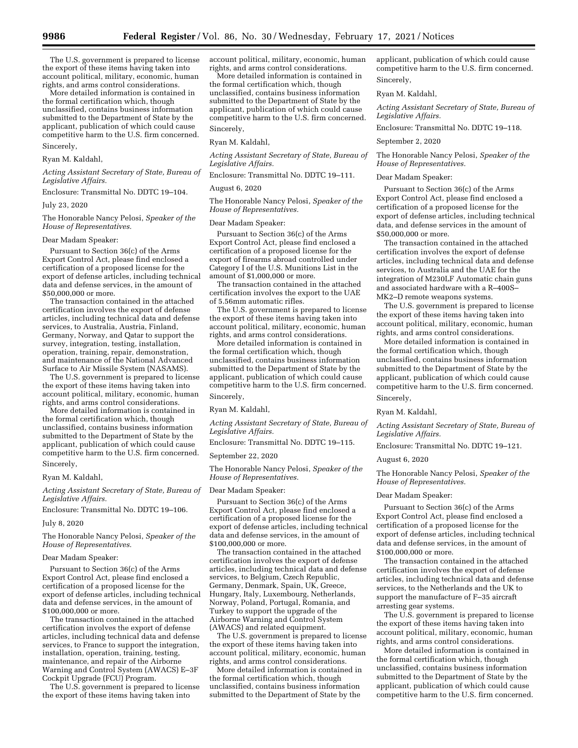The U.S. government is prepared to license the export of these items having taken into account political, military, economic, human rights, and arms control considerations.

More detailed information is contained in the formal certification which, though unclassified, contains business information submitted to the Department of State by the applicant, publication of which could cause competitive harm to the U.S. firm concerned. Sincerely,

#### Ryan M. Kaldahl,

*Acting Assistant Secretary of State, Bureau of Legislative Affairs.* 

Enclosure: Transmittal No. DDTC 19–104.

July 23, 2020

The Honorable Nancy Pelosi, *Speaker of the House of Representatives.* 

# Dear Madam Speaker:

Pursuant to Section 36(c) of the Arms Export Control Act, please find enclosed a certification of a proposed license for the export of defense articles, including technical data and defense services, in the amount of \$50,000,000 or more.

The transaction contained in the attached certification involves the export of defense articles, including technical data and defense services, to Australia, Austria, Finland, Germany, Norway, and Qatar to support the survey, integration, testing, installation, operation, training, repair, demonstration, and maintenance of the National Advanced Surface to Air Missile System (NASAMS).

The U.S. government is prepared to license the export of these items having taken into account political, military, economic, human rights, and arms control considerations.

More detailed information is contained in the formal certification which, though unclassified, contains business information submitted to the Department of State by the applicant, publication of which could cause competitive harm to the U.S. firm concerned. Sincerely,

Ryan M. Kaldahl,

*Acting Assistant Secretary of State, Bureau of Legislative Affairs.* 

Enclosure: Transmittal No. DDTC 19–106.

# July 8, 2020

The Honorable Nancy Pelosi, *Speaker of the House of Representatives.* 

### Dear Madam Speaker:

Pursuant to Section 36(c) of the Arms Export Control Act, please find enclosed a certification of a proposed license for the export of defense articles, including technical data and defense services, in the amount of \$100,000,000 or more.

The transaction contained in the attached certification involves the export of defense articles, including technical data and defense services, to France to support the integration, installation, operation, training, testing, maintenance, and repair of the Airborne Warning and Control System (AWACS) E–3F Cockpit Upgrade (FCU) Program.

The U.S. government is prepared to license the export of these items having taken into

account political, military, economic, human rights, and arms control considerations.

More detailed information is contained in the formal certification which, though unclassified, contains business information submitted to the Department of State by the applicant, publication of which could cause competitive harm to the U.S. firm concerned. Sincerely,

Ryan M. Kaldahl,

*Acting Assistant Secretary of State, Bureau of Legislative Affairs.* 

Enclosure: Transmittal No. DDTC 19–111.

### August 6, 2020

The Honorable Nancy Pelosi, *Speaker of the House of Representatives.* 

# Dear Madam Speaker:

Pursuant to Section 36(c) of the Arms Export Control Act, please find enclosed a certification of a proposed license for the export of firearms abroad controlled under Category I of the U.S. Munitions List in the amount of \$1,000,000 or more.

The transaction contained in the attached certification involves the export to the UAE of 5.56mm automatic rifles.

The U.S. government is prepared to license the export of these items having taken into account political, military, economic, human rights, and arms control considerations.

More detailed information is contained in the formal certification which, though unclassified, contains business information submitted to the Department of State by the applicant, publication of which could cause competitive harm to the U.S. firm concerned. Sincerely,

Ryan M. Kaldahl,

*Acting Assistant Secretary of State, Bureau of Legislative Affairs.* 

Enclosure: Transmittal No. DDTC 19–115.

September 22, 2020

The Honorable Nancy Pelosi, *Speaker of the House of Representatives.* 

#### Dear Madam Speaker:

Pursuant to Section 36(c) of the Arms Export Control Act, please find enclosed a certification of a proposed license for the export of defense articles, including technical data and defense services, in the amount of \$100,000,000 or more.

The transaction contained in the attached certification involves the export of defense articles, including technical data and defense services, to Belgium, Czech Republic, Germany, Denmark, Spain, UK, Greece, Hungary, Italy, Luxembourg, Netherlands, Norway, Poland, Portugal, Romania, and Turkey to support the upgrade of the Airborne Warning and Control System (AWACS) and related equipment.

The U.S. government is prepared to license the export of these items having taken into account political, military, economic, human rights, and arms control considerations.

More detailed information is contained in the formal certification which, though unclassified, contains business information submitted to the Department of State by the

applicant, publication of which could cause competitive harm to the U.S. firm concerned. Sincerely,

# Ryan M. Kaldahl,

*Acting Assistant Secretary of State, Bureau of Legislative Affairs.* 

Enclosure: Transmittal No. DDTC 19–118.

#### September 2, 2020

The Honorable Nancy Pelosi, *Speaker of the House of Representatives.* 

# Dear Madam Speaker:

Pursuant to Section 36(c) of the Arms Export Control Act, please find enclosed a certification of a proposed license for the export of defense articles, including technical data, and defense services in the amount of \$50,000,000 or more.

The transaction contained in the attached certification involves the export of defense articles, including technical data and defense services, to Australia and the UAE for the integration of M230LF Automatic chain guns and associated hardware with a R–400S– MK2–D remote weapons systems.

The U.S. government is prepared to license the export of these items having taken into account political, military, economic, human rights, and arms control considerations.

More detailed information is contained in the formal certification which, though unclassified, contains business information submitted to the Department of State by the applicant, publication of which could cause competitive harm to the U.S. firm concerned.

# Sincerely,

Ryan M. Kaldahl,

*Acting Assistant Secretary of State, Bureau of Legislative Affairs.* 

Enclosure: Transmittal No. DDTC 19–121.

### August 6, 2020

The Honorable Nancy Pelosi, *Speaker of the House of Representatives.* 

#### Dear Madam Speaker:

Pursuant to Section 36(c) of the Arms Export Control Act, please find enclosed a certification of a proposed license for the export of defense articles, including technical data and defense services, in the amount of \$100,000,000 or more.

The transaction contained in the attached certification involves the export of defense articles, including technical data and defense services, to the Netherlands and the UK to support the manufacture of F–35 aircraft arresting gear systems.

The U.S. government is prepared to license the export of these items having taken into account political, military, economic, human rights, and arms control considerations.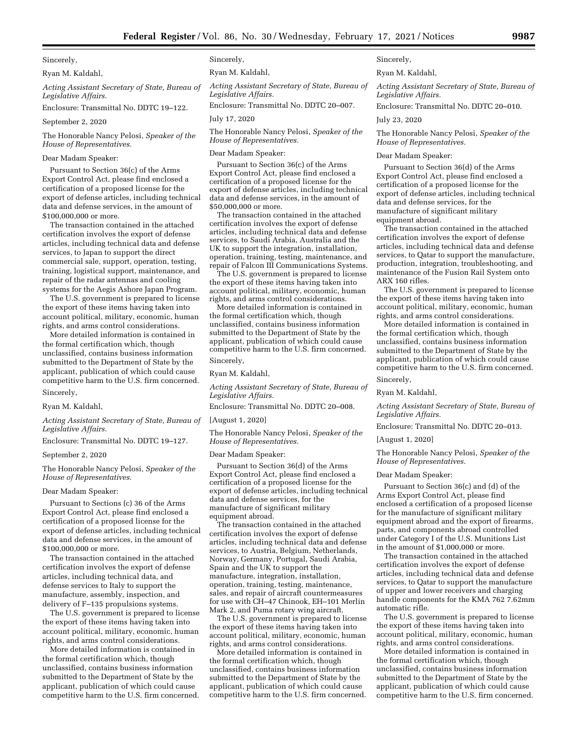Ryan M. Kaldahl,

*Acting Assistant Secretary of State, Bureau of Legislative Affairs.* 

Enclosure: Transmittal No. DDTC 19–122.

September 2, 2020

The Honorable Nancy Pelosi, *Speaker of the House of Representatives.* 

### Dear Madam Speaker:

Pursuant to Section 36(c) of the Arms Export Control Act, please find enclosed a certification of a proposed license for the export of defense articles, including technical data and defense services, in the amount of \$100,000,000 or more.

The transaction contained in the attached certification involves the export of defense articles, including technical data and defense services, to Japan to support the direct commercial sale, support, operation, testing, training, logistical support, maintenance, and repair of the radar antennas and cooling systems for the Aegis Ashore Japan Program.

The U.S. government is prepared to license the export of these items having taken into account political, military, economic, human rights, and arms control considerations.

More detailed information is contained in the formal certification which, though unclassified, contains business information submitted to the Department of State by the applicant, publication of which could cause competitive harm to the U.S. firm concerned. Sincerely,

Ryan M. Kaldahl,

*Acting Assistant Secretary of State, Bureau of Legislative Affairs.* 

Enclosure: Transmittal No. DDTC 19–127.

#### September 2, 2020

The Honorable Nancy Pelosi, *Speaker of the House of Representatives.* 

#### Dear Madam Speaker:

Pursuant to Sections (c) 36 of the Arms Export Control Act, please find enclosed a certification of a proposed license for the export of defense articles, including technical data and defense services, in the amount of \$100,000,000 or more.

The transaction contained in the attached certification involves the export of defense articles, including technical data, and defense services to Italy to support the manufacture, assembly, inspection, and delivery of F–135 propulsions systems.

The U.S. government is prepared to license the export of these items having taken into account political, military, economic, human rights, and arms control considerations.

More detailed information is contained in the formal certification which, though unclassified, contains business information submitted to the Department of State by the applicant, publication of which could cause competitive harm to the U.S. firm concerned. Sincerely,

Ryan M. Kaldahl,

*Acting Assistant Secretary of State, Bureau of Legislative Affairs.* 

Enclosure: Transmittal No. DDTC 20–007.

July 17, 2020

The Honorable Nancy Pelosi, *Speaker of the House of Representatives.* 

#### Dear Madam Speaker:

Pursuant to Section 36(c) of the Arms Export Control Act, please find enclosed a certification of a proposed license for the export of defense articles, including technical data and defense services, in the amount of \$50,000,000 or more.

The transaction contained in the attached certification involves the export of defense articles, including technical data and defense services, to Saudi Arabia, Australia and the UK to support the integration, installation, operation, training, testing, maintenance, and repair of Falcon III Communications Systems.

The U.S. government is prepared to license the export of these items having taken into account political, military, economic, human rights, and arms control considerations.

More detailed information is contained in the formal certification which, though unclassified, contains business information submitted to the Department of State by the applicant, publication of which could cause competitive harm to the U.S. firm concerned. Sincerely,

Ryan M. Kaldahl,

*Acting Assistant Secretary of State, Bureau of Legislative Affairs.* 

Enclosure: Transmittal No. DDTC 20–008.

[August 1, 2020]

The Honorable Nancy Pelosi, *Speaker of the House of Representatives.* 

Dear Madam Speaker:

Pursuant to Section 36(d) of the Arms Export Control Act, please find enclosed a certification of a proposed license for the export of defense articles, including technical data and defense services, for the manufacture of significant military equipment abroad.

The transaction contained in the attached certification involves the export of defense articles, including technical data and defense services, to Austria, Belgium, Netherlands, Norway, Germany, Portugal, Saudi Arabia, Spain and the UK to support the manufacture, integration, installation, operation, training, testing, maintenance, sales, and repair of aircraft countermeasures for use with CH–47 Chinook, EH–101 Merlin Mark 2, and Puma rotary wing aircraft.

The U.S. government is prepared to license the export of these items having taken into account political, military, economic, human rights, and arms control considerations.

More detailed information is contained in the formal certification which, though unclassified, contains business information submitted to the Department of State by the applicant, publication of which could cause competitive harm to the U.S. firm concerned.

Sincerely,

Ryan M. Kaldahl,

*Acting Assistant Secretary of State, Bureau of Legislative Affairs.* 

Enclosure: Transmittal No. DDTC 20–010.

July 23, 2020

The Honorable Nancy Pelosi, *Speaker of the House of Representatives.* 

# Dear Madam Speaker:

Pursuant to Section 36(d) of the Arms Export Control Act, please find enclosed a certification of a proposed license for the export of defense articles, including technical data and defense services, for the manufacture of significant military equipment abroad.

The transaction contained in the attached certification involves the export of defense articles, including technical data and defense services, to Qatar to support the manufacture, production, integration, troubleshooting, and maintenance of the Fusion Rail System onto ARX 160 rifles.

The U.S. government is prepared to license the export of these items having taken into account political, military, economic, human rights, and arms control considerations.

More detailed information is contained in the formal certification which, though unclassified, contains business information submitted to the Department of State by the applicant, publication of which could cause competitive harm to the U.S. firm concerned. Sincerely,

Ryan M. Kaldahl,

*Acting Assistant Secretary of State, Bureau of Legislative Affairs.* 

Enclosure: Transmittal No. DDTC 20–013.

[August 1, 2020]

The Honorable Nancy Pelosi, *Speaker of the House of Representatives.* 

#### Dear Madam Speaker:

Pursuant to Section 36(c) and (d) of the Arms Export Control Act, please find enclosed a certification of a proposed license for the manufacture of significant military equipment abroad and the export of firearms, parts, and components abroad controlled under Category I of the U.S. Munitions List in the amount of \$1,000,000 or more.

The transaction contained in the attached certification involves the export of defense articles, including technical data and defense services, to Qatar to support the manufacture of upper and lower receivers and charging handle components for the KMA 762 7.62mm automatic rifle.

The U.S. government is prepared to license the export of these items having taken into account political, military, economic, human rights, and arms control considerations.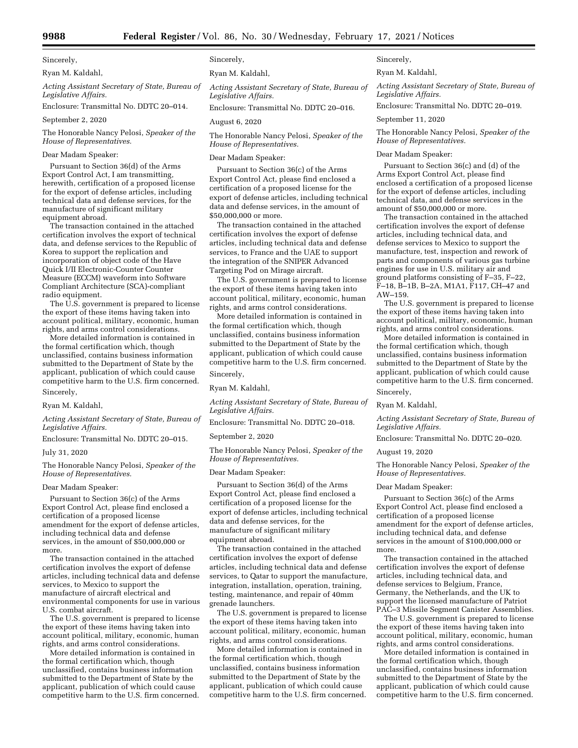Ryan M. Kaldahl,

*Acting Assistant Secretary of State, Bureau of Legislative Affairs.* 

Enclosure: Transmittal No. DDTC 20–014.

September 2, 2020

The Honorable Nancy Pelosi, *Speaker of the House of Representatives.* 

# Dear Madam Speaker:

Pursuant to Section 36(d) of the Arms Export Control Act, I am transmitting, herewith, certification of a proposed license for the export of defense articles, including technical data and defense services, for the manufacture of significant military equipment abroad.

The transaction contained in the attached certification involves the export of technical data, and defense services to the Republic of Korea to support the replication and incorporation of object code of the Have Quick I/II Electronic-Counter Counter Measure (ECCM) waveform into Software Compliant Architecture (SCA)-compliant radio equipment.

The U.S. government is prepared to license the export of these items having taken into account political, military, economic, human rights, and arms control considerations.

More detailed information is contained in the formal certification which, though unclassified, contains business information submitted to the Department of State by the applicant, publication of which could cause competitive harm to the U.S. firm concerned. Sincerely,

Ryan M. Kaldahl,

*Acting Assistant Secretary of State, Bureau of Legislative Affairs.* 

Enclosure: Transmittal No. DDTC 20–015.

# July 31, 2020

The Honorable Nancy Pelosi, *Speaker of the House of Representatives.* 

#### Dear Madam Speaker:

Pursuant to Section 36(c) of the Arms Export Control Act, please find enclosed a certification of a proposed license amendment for the export of defense articles, including technical data and defense services, in the amount of \$50,000,000 or more.

The transaction contained in the attached certification involves the export of defense articles, including technical data and defense services, to Mexico to support the manufacture of aircraft electrical and environmental components for use in various U.S. combat aircraft.

The U.S. government is prepared to license the export of these items having taken into account political, military, economic, human rights, and arms control considerations.

More detailed information is contained in the formal certification which, though unclassified, contains business information submitted to the Department of State by the applicant, publication of which could cause competitive harm to the U.S. firm concerned. Sincerely,

Ryan M. Kaldahl,

*Acting Assistant Secretary of State, Bureau of Legislative Affairs.* 

Enclosure: Transmittal No. DDTC 20–016.

August 6, 2020

The Honorable Nancy Pelosi, *Speaker of the House of Representatives.* 

#### Dear Madam Speaker:

Pursuant to Section 36(c) of the Arms Export Control Act, please find enclosed a certification of a proposed license for the export of defense articles, including technical data and defense services, in the amount of \$50,000,000 or more.

The transaction contained in the attached certification involves the export of defense articles, including technical data and defense services, to France and the UAE to support the integration of the SNIPER Advanced Targeting Pod on Mirage aircraft.

The U.S. government is prepared to license the export of these items having taken into account political, military, economic, human rights, and arms control considerations.

More detailed information is contained in the formal certification which, though unclassified, contains business information submitted to the Department of State by the applicant, publication of which could cause competitive harm to the U.S. firm concerned. Sincerely,

Ryan M. Kaldahl,

*Acting Assistant Secretary of State, Bureau of Legislative Affairs.* 

Enclosure: Transmittal No. DDTC 20–018.

September 2, 2020

The Honorable Nancy Pelosi, *Speaker of the House of Representatives.* 

# Dear Madam Speaker:

Pursuant to Section 36(d) of the Arms Export Control Act, please find enclosed a certification of a proposed license for the export of defense articles, including technical data and defense services, for the manufacture of significant military equipment abroad.

The transaction contained in the attached certification involves the export of defense articles, including technical data and defense services, to Qatar to support the manufacture, integration, installation, operation, training, testing, maintenance, and repair of 40mm grenade launchers.

The U.S. government is prepared to license the export of these items having taken into account political, military, economic, human rights, and arms control considerations.

More detailed information is contained in the formal certification which, though unclassified, contains business information submitted to the Department of State by the applicant, publication of which could cause competitive harm to the U.S. firm concerned. Sincerely,

Ryan M. Kaldahl,

*Acting Assistant Secretary of State, Bureau of Legislative Affairs.* 

Enclosure: Transmittal No. DDTC 20–019.

September 11, 2020

The Honorable Nancy Pelosi, *Speaker of the House of Representatives.* 

### Dear Madam Speaker:

Pursuant to Section 36(c) and (d) of the Arms Export Control Act, please find enclosed a certification of a proposed license for the export of defense articles, including technical data, and defense services in the amount of \$50,000,000 or more.

The transaction contained in the attached certification involves the export of defense articles, including technical data, and defense services to Mexico to support the manufacture, test, inspection and rework of parts and components of various gas turbine engines for use in U.S. military air and ground platforms consisting of F–35, F–22, F–18, B–1B, B–2A, M1A1, F117, CH–47 and AW–159.

The U.S. government is prepared to license the export of these items having taken into account political, military, economic, human rights, and arms control considerations.

More detailed information is contained in the formal certification which, though unclassified, contains business information submitted to the Department of State by the applicant, publication of which could cause competitive harm to the U.S. firm concerned. Sincerely,

Ryan M. Kaldahl,

*Acting Assistant Secretary of State, Bureau of Legislative Affairs.* 

Enclosure: Transmittal No. DDTC 20–020.

### August 19, 2020

The Honorable Nancy Pelosi, *Speaker of the House of Representatives.* 

# Dear Madam Speaker:

Pursuant to Section 36(c) of the Arms Export Control Act, please find enclosed a certification of a proposed license amendment for the export of defense articles, including technical data, and defense services in the amount of \$100,000,000 or more.

The transaction contained in the attached certification involves the export of defense articles, including technical data, and defense services to Belgium, France, Germany, the Netherlands, and the UK to support the licensed manufacture of Patriot PAC–3 Missile Segment Canister Assemblies.

The U.S. government is prepared to license the export of these items having taken into account political, military, economic, human rights, and arms control considerations.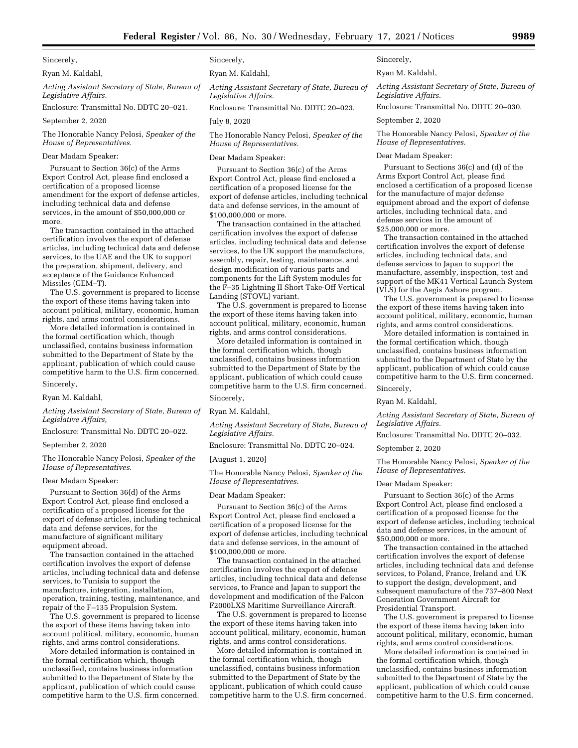Ryan M. Kaldahl,

*Acting Assistant Secretary of State, Bureau of Legislative Affairs.* 

Enclosure: Transmittal No. DDTC 20–021.

September 2, 2020

The Honorable Nancy Pelosi, *Speaker of the House of Representatives.* 

### Dear Madam Speaker:

Pursuant to Section 36(c) of the Arms Export Control Act, please find enclosed a certification of a proposed license amendment for the export of defense articles, including technical data and defense services, in the amount of \$50,000,000 or more.

The transaction contained in the attached certification involves the export of defense articles, including technical data and defense services, to the UAE and the UK to support the preparation, shipment, delivery, and acceptance of the Guidance Enhanced Missiles (GEM–T).

The U.S. government is prepared to license the export of these items having taken into account political, military, economic, human rights, and arms control considerations.

More detailed information is contained in the formal certification which, though unclassified, contains business information submitted to the Department of State by the applicant, publication of which could cause competitive harm to the U.S. firm concerned. Sincerely,

#### Ryan M. Kaldahl,

*Acting Assistant Secretary of State, Bureau of Legislative Affairs,* 

Enclosure: Transmittal No. DDTC 20–022.

### September 2, 2020

The Honorable Nancy Pelosi, *Speaker of the House of Representatives.* 

#### Dear Madam Speaker:

Pursuant to Section 36(d) of the Arms Export Control Act, please find enclosed a certification of a proposed license for the export of defense articles, including technical data and defense services, for the manufacture of significant military equipment abroad.

The transaction contained in the attached certification involves the export of defense articles, including technical data and defense services, to Tunisia to support the manufacture, integration, installation, operation, training, testing, maintenance, and repair of the F–135 Propulsion System.

The U.S. government is prepared to license the export of these items having taken into account political, military, economic, human rights, and arms control considerations.

More detailed information is contained in the formal certification which, though unclassified, contains business information submitted to the Department of State by the applicant, publication of which could cause competitive harm to the U.S. firm concerned. Sincerely,

Ryan M. Kaldahl,

*Acting Assistant Secretary of State, Bureau of Legislative Affairs.* 

Enclosure: Transmittal No. DDTC 20–023.

July 8, 2020

The Honorable Nancy Pelosi, *Speaker of the House of Representatives.* 

Dear Madam Speaker:

Pursuant to Section 36(c) of the Arms Export Control Act, please find enclosed a certification of a proposed license for the export of defense articles, including technical data and defense services, in the amount of \$100,000,000 or more.

The transaction contained in the attached certification involves the export of defense articles, including technical data and defense services, to the UK support the manufacture, assembly, repair, testing, maintenance, and design modification of various parts and components for the Lift System modules for the F–35 Lightning II Short Take-Off Vertical Landing (STOVL) variant.

The U.S. government is prepared to license the export of these items having taken into account political, military, economic, human rights, and arms control considerations.

More detailed information is contained in the formal certification which, though unclassified, contains business information submitted to the Department of State by the applicant, publication of which could cause competitive harm to the U.S. firm concerned. Sincerely,

Ryan M. Kaldahl,

*Acting Assistant Secretary of State, Bureau of Legislative Affairs.* 

Enclosure: Transmittal No. DDTC 20–024.

#### [August 1, 2020]

The Honorable Nancy Pelosi, *Speaker of the House of Representatives.* 

#### Dear Madam Speaker:

Pursuant to Section 36(c) of the Arms Export Control Act, please find enclosed a certification of a proposed license for the export of defense articles, including technical data and defense services, in the amount of \$100,000,000 or more.

The transaction contained in the attached certification involves the export of defense articles, including technical data and defense services, to France and Japan to support the development and modification of the Falcon F2000LXS Maritime Surveillance Aircraft.

The U.S. government is prepared to license the export of these items having taken into account political, military, economic, human rights, and arms control considerations.

More detailed information is contained in the formal certification which, though unclassified, contains business information submitted to the Department of State by the applicant, publication of which could cause competitive harm to the U.S. firm concerned. Sincerely,

Ryan M. Kaldahl,

*Acting Assistant Secretary of State, Bureau of Legislative Affairs.* 

Enclosure: Transmittal No. DDTC 20–030.

September 2, 2020

The Honorable Nancy Pelosi, *Speaker of the House of Representatives.* 

#### Dear Madam Speaker:

Pursuant to Sections 36(c) and (d) of the Arms Export Control Act, please find enclosed a certification of a proposed license for the manufacture of major defense equipment abroad and the export of defense articles, including technical data, and defense services in the amount of \$25,000,000 or more.

The transaction contained in the attached certification involves the export of defense articles, including technical data, and defense services to Japan to support the manufacture, assembly, inspection, test and support of the MK41 Vertical Launch System (VLS) for the Aegis Ashore program.

The U.S. government is prepared to license the export of these items having taken into account political, military, economic, human rights, and arms control considerations.

More detailed information is contained in the formal certification which, though unclassified, contains business information submitted to the Department of State by the applicant, publication of which could cause competitive harm to the U.S. firm concerned. Sincerely,

Ryan M. Kaldahl,

*Acting Assistant Secretary of State, Bureau of Legislative Affairs.* 

Enclosure: Transmittal No. DDTC 20–032.

September 2, 2020

The Honorable Nancy Pelosi, *Speaker of the House of Representatives.* 

# Dear Madam Speaker:

Pursuant to Section 36(c) of the Arms Export Control Act, please find enclosed a certification of a proposed license for the export of defense articles, including technical data and defense services, in the amount of \$50,000,000 or more.

The transaction contained in the attached certification involves the export of defense articles, including technical data and defense services, to Poland, France, Ireland and UK to support the design, development, and subsequent manufacture of the 737–800 Next Generation Government Aircraft for Presidential Transport.

The U.S. government is prepared to license the export of these items having taken into account political, military, economic, human rights, and arms control considerations.